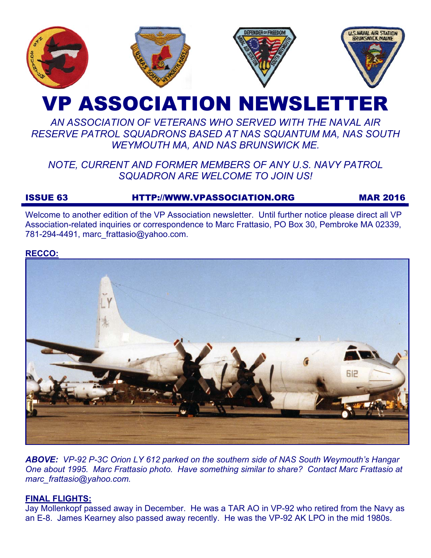

# VP ASSOCIATION NEWSLETTER

# *AN ASSOCIATION OF VETERANS WHO SERVED WITH THE NAVAL AIR RESERVE PATROL SQUADRONS BASED AT NAS SQUANTUM MA, NAS SOUTH WEYMOUTH MA, AND NAS BRUNSWICK ME.*

# *NOTE, CURRENT AND FORMER MEMBERS OF ANY U.S. NAVY PATROL SQUADRON ARE WELCOME TO JOIN US!*

# ISSUE 63 HTTP://WWW.VPASSOCIATION.ORG MAR 2016

Welcome to another edition of the VP Association newsletter. Until further notice please direct all VP Association-related inquiries or correspondence to Marc Frattasio, PO Box 30, Pembroke MA 02339, 781-294-4491, marc\_frattasio@yahoo.com.

#### **RECCO:**



*ABOVE: VP-92 P-3C Orion LY 612 parked on the southern side of NAS South Weymouth's Hangar One about 1995. Marc Frattasio photo. Have something similar to share? Contact Marc Frattasio at marc\_frattasio@yahoo.com.* 

#### **FINAL FLIGHTS:**

Jay Mollenkopf passed away in December. He was a TAR AO in VP-92 who retired from the Navy as an E-8. James Kearney also passed away recently. He was the VP-92 AK LPO in the mid 1980s.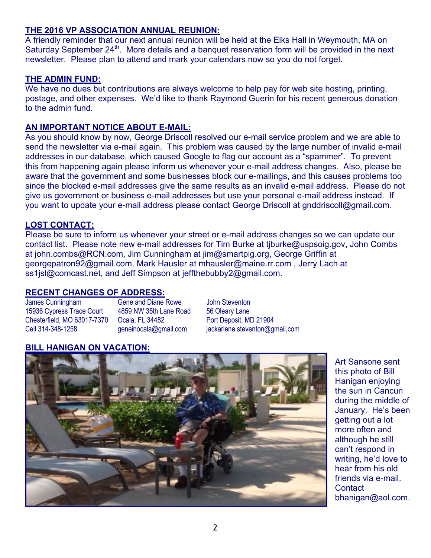#### **THE 2016 VP ASSOCIATION ANNUAL REUNION:**

A friendly reminder that our next annual reunion will be held at the Elks Hall in Weymouth, MA on Saturday September 24<sup>th</sup>. More details and a banquet reservation form will be provided in the next newsletter. Please plan to attend and mark your calendars now so you do not forget.

#### **THE ADMIN FUND:**

We have no dues but contributions are always welcome to help pay for web site hosting, printing, postage, and other expenses. We'd like to thank Raymond Guerin for his recent generous donation to the admin fund.

#### **AN IMPORTANT NOTICE ABOUT E-MAIL:**

As you should know by now, George Driscoll resolved our e-mail service problem and we are able to send the newsletter via e-mail again. This problem was caused by the large number of invalid e-mail addresses in our database, which caused Google to flag our account as a "spammer". To prevent this from happening again please inform us whenever your e-mail address changes. Also, please be aware that the government and some businesses block our e-mailings, and this causes problems too since the blocked e-mail addresses give the same results as an invalid e-mail address. Please do not give us government or business e-mail addresses but use your personal e-mail address instead. If you want to update your e-mail address please contact George Driscoll at gnddriscoll@gmail.com.

#### **LOST CONTACT:**

Please be sure to inform us whenever your street or e-mail address changes so we can update our contact list. Please note new e-mail addresses for Tim Burke at tjburke@uspsoig.gov, John Combs at john.combs@RCN.com, Jim Cunningham at jim@smartpig.org, George Griffin at georgepatron92@gmail.com, Mark Hausler at mhausler@maine.rr.com , Jerry Lach at ss1jsl@comcast.net, and Jeff Simpson at jeffthebubby2@gmail.com.

#### **RECENT CHANGES OF ADDRESS:**

James Cunningham 15936 Cypress Trace Court Chesterfield, MO 63017-7370 Cell 314-348-1258

Gene and Diane Rowe 4859 NW 35th Lane Road Ocala, FL 34482 geneinocala@gmail.com

John Steventon 56 Oleary Lane Port Deposit, MD 21904 jackarlene.steventon@gmail,com





Art Sansone sent this photo of Bill Hanigan enjoying the sun in Cancun during the middle of January. He's been getting out a lot more often and although he still can't respond in writing, he'd love to hear from his old friends via e-mail. **Contact** bhanigan@aol.com.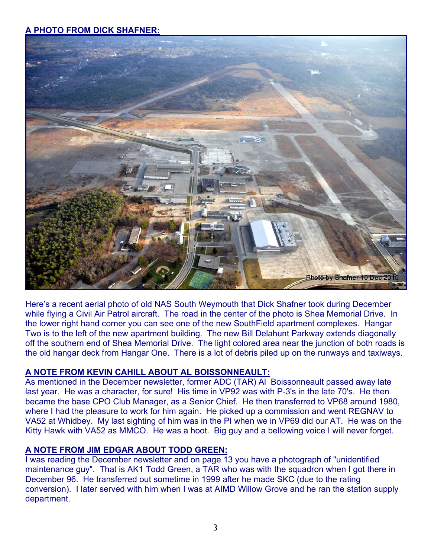# **A PHOTO FROM DICK SHAFNER:**



Here's a recent aerial photo of old NAS South Weymouth that Dick Shafner took during December while flying a Civil Air Patrol aircraft. The road in the center of the photo is Shea Memorial Drive. In the lower right hand corner you can see one of the new SouthField apartment complexes. Hangar Two is to the left of the new apartment building. The new Bill Delahunt Parkway extends diagonally off the southern end of Shea Memorial Drive. The light colored area near the junction of both roads is the old hangar deck from Hangar One. There is a lot of debris piled up on the runways and taxiways.

#### **A NOTE FROM KEVIN CAHILL ABOUT AL BOISSONNEAULT:**

As mentioned in the December newsletter, former ADC (TAR) Al Boissonneault passed away late last year. He was a character, for sure! His time in VP92 was with P-3's in the late 70's. He then became the base CPO Club Manager, as a Senior Chief. He then transferred to VP68 around 1980, where I had the pleasure to work for him again. He picked up a commission and went REGNAV to VA52 at Whidbey. My last sighting of him was in the PI when we in VP69 did our AT. He was on the Kitty Hawk with VA52 as MMCO. He was a hoot. Big guy and a bellowing voice I will never forget.

#### **A NOTE FROM JIM EDGAR ABOUT TODD GREEN:**

I was reading the December newsletter and on page 13 you have a photograph of "unidentified maintenance guy". That is AK1 Todd Green, a TAR who was with the squadron when I got there in December 96. He transferred out sometime in 1999 after he made SKC (due to the rating conversion). I later served with him when I was at AIMD Willow Grove and he ran the station supply department.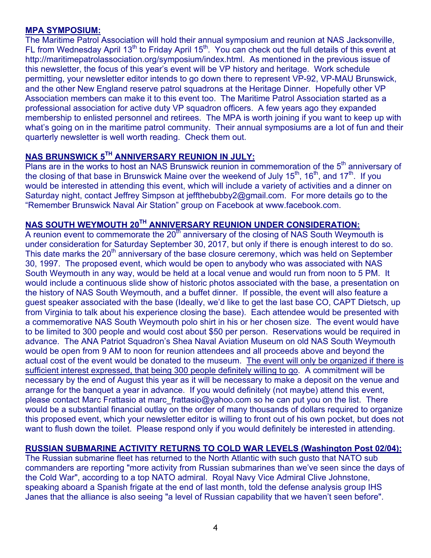#### **MPA SYMPOSIUM:**

The Maritime Patrol Association will hold their annual symposium and reunion at NAS Jacksonville, FL from Wednesday April 13<sup>th</sup> to Friday April 15<sup>th</sup>. You can check out the full details of this event at http://maritimepatrolassociation.org/symposium/index.html. As mentioned in the previous issue of this newsletter, the focus of this year's event will be VP history and heritage. Work schedule permitting, your newsletter editor intends to go down there to represent VP-92, VP-MAU Brunswick, and the other New England reserve patrol squadrons at the Heritage Dinner. Hopefully other VP Association members can make it to this event too. The Maritime Patrol Association started as a professional association for active duty VP squadron officers. A few years ago they expanded membership to enlisted personnel and retirees. The MPA is worth joining if you want to keep up with what's going on in the maritime patrol community. Their annual symposiums are a lot of fun and their quarterly newsletter is well worth reading. Check them out.

# **NAS BRUNSWICK 5TH ANNIVERSARY REUNION IN JULY:**

Plans are in the works to host an NAS Brunswick reunion in commemoration of the  $5<sup>th</sup>$  anniversary of the closing of that base in Brunswick Maine over the weekend of July 15<sup>th</sup>, 16<sup>th</sup>, and 17<sup>th</sup>. If you would be interested in attending this event, which will include a variety of activities and a dinner on Saturday night, contact Jeffrey Simpson at jeffthebubby2@gmail.com. For more details go to the "Remember Brunswick Naval Air Station" group on Facebook at www.facebook.com.

### **NAS SOUTH WEYMOUTH 20TH ANNIVERSARY REUNION UNDER CONSIDERATION:**

A reunion event to commemorate the  $20<sup>th</sup>$  anniversary of the closing of NAS South Weymouth is under consideration for Saturday September 30, 2017, but only if there is enough interest to do so. This date marks the  $20<sup>th</sup>$  anniversary of the base closure ceremony, which was held on September 30, 1997. The proposed event, which would be open to anybody who was associated with NAS South Weymouth in any way, would be held at a local venue and would run from noon to 5 PM. It would include a continuous slide show of historic photos associated with the base, a presentation on the history of NAS South Weymouth, and a buffet dinner. If possible, the event will also feature a guest speaker associated with the base (Ideally, we'd like to get the last base CO, CAPT Dietsch, up from Virginia to talk about his experience closing the base). Each attendee would be presented with a commemorative NAS South Weymouth polo shirt in his or her chosen size. The event would have to be limited to 300 people and would cost about \$50 per person. Reservations would be required in advance. The ANA Patriot Squadron's Shea Naval Aviation Museum on old NAS South Weymouth would be open from 9 AM to noon for reunion attendees and all proceeds above and beyond the actual cost of the event would be donated to the museum. The event will only be organized if there is sufficient interest expressed, that being 300 people definitely willing to go. A commitment will be necessary by the end of August this year as it will be necessary to make a deposit on the venue and arrange for the banquet a year in advance. If you would definitely (not maybe) attend this event, please contact Marc Frattasio at marc frattasio@yahoo.com so he can put you on the list. There would be a substantial financial outlay on the order of many thousands of dollars required to organize this proposed event, which your newsletter editor is willing to front out of his own pocket, but does not want to flush down the toilet. Please respond only if you would definitely be interested in attending.

#### **RUSSIAN SUBMARINE ACTIVITY RETURNS TO COLD WAR LEVELS (Washington Post 02/04):**

The Russian submarine fleet has returned to the North Atlantic with such gusto that NATO sub commanders are reporting "more activity from Russian submarines than we've seen since the days of the Cold War", according to a top NATO admiral. Royal Navy Vice Admiral Clive Johnstone, speaking aboard a Spanish frigate at the end of last month, told the defense analysis group IHS Janes that the alliance is also seeing "a level of Russian capability that we haven't seen before".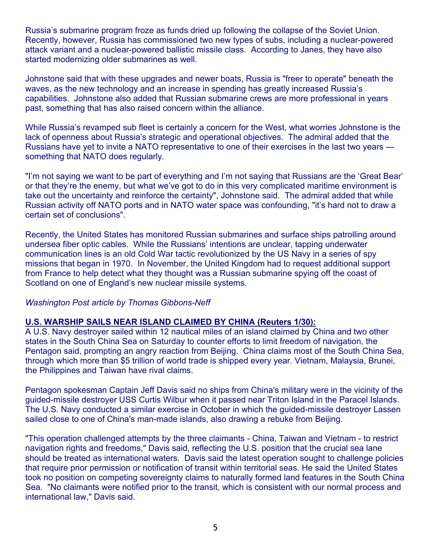Russia's submarine program froze as funds dried up following the collapse of the Soviet Union. Recently, however, Russia has commissioned two new types of subs, including a nuclear-powered attack variant and a nuclear-powered ballistic missile class. According to Janes, they have also started modernizing older submarines as well.

Johnstone said that with these upgrades and newer boats, Russia is "freer to operate" beneath the waves, as the new technology and an increase in spending has greatly increased Russia's capabilities. Johnstone also added that Russian submarine crews are more professional in years past, something that has also raised concern within the alliance.

While Russia's revamped sub fleet is certainly a concern for the West, what worries Johnstone is the lack of openness about Russia's strategic and operational objectives. The admiral added that the Russians have yet to invite a NATO representative to one of their exercises in the last two years something that NATO does regularly.

"I'm not saying we want to be part of everything and I'm not saying that Russians are the 'Great Bear' or that they're the enemy, but what we've got to do in this very complicated maritime environment is take out the uncertainty and reinforce the certainty", Johnstone said. The admiral added that while Russian activity off NATO ports and in NATO water space was confounding, "it's hard not to draw a certain set of conclusions".

Recently, the United States has monitored Russian submarines and surface ships patrolling around undersea fiber optic cables. While the Russians' intentions are unclear, tapping underwater communication lines is an old Cold War tactic revolutionized by the US Navy in a series of spy missions that began in 1970. In November, the United Kingdom had to request additional support from France to help detect what they thought was a Russian submarine spying off the coast of Scotland on one of England's new nuclear missile systems.

#### *Washington Post article by Thomas Gibbons-Neff*

#### **U.S. WARSHIP SAILS NEAR ISLAND CLAIMED BY CHINA (Reuters 1/30):**

A U.S. Navy destroyer sailed within 12 nautical miles of an island claimed by China and two other states in the South China Sea on Saturday to counter efforts to limit freedom of navigation, the Pentagon said, prompting an angry reaction from Beijing. China claims most of the South China Sea, through which more than \$5 trillion of world trade is shipped every year. Vietnam, Malaysia, Brunei, the Philippines and Taiwan have rival claims.

Pentagon spokesman Captain Jeff Davis said no ships from China's military were in the vicinity of the guided-missile destroyer USS Curtis Wilbur when it passed near Triton Island in the Paracel Islands. The U.S. Navy conducted a similar exercise in October in which the guided-missile destroyer Lassen sailed close to one of China's man-made islands, also drawing a rebuke from Beijing.

"This operation challenged attempts by the three claimants - China, Taiwan and Vietnam - to restrict navigation rights and freedoms," Davis said, reflecting the U.S. position that the crucial sea lane should be treated as international waters. Davis said the latest operation sought to challenge policies that require prior permission or notification of transit within territorial seas. He said the United States took no position on competing sovereignty claims to naturally formed land features in the South China Sea. "No claimants were notified prior to the transit, which is consistent with our normal process and international law," Davis said.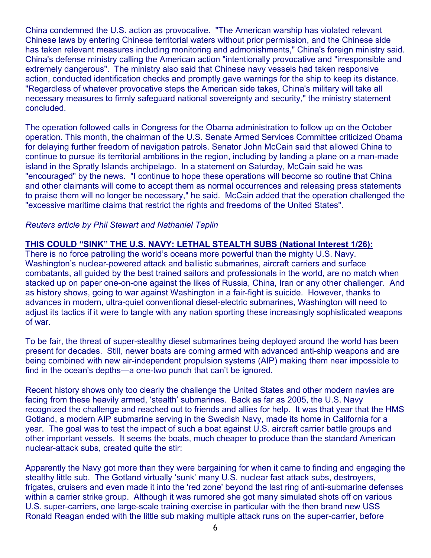China condemned the U.S. action as provocative. "The American warship has violated relevant Chinese laws by entering Chinese territorial waters without prior permission, and the Chinese side has taken relevant measures including monitoring and admonishments," China's foreign ministry said. China's defense ministry calling the American action "intentionally provocative and "irresponsible and extremely dangerous". The ministry also said that Chinese navy vessels had taken responsive action, conducted identification checks and promptly gave warnings for the ship to keep its distance. "Regardless of whatever provocative steps the American side takes, China's military will take all necessary measures to firmly safeguard national sovereignty and security," the ministry statement concluded.

The operation followed calls in Congress for the Obama administration to follow up on the October operation. This month, the chairman of the U.S. Senate Armed Services Committee criticized Obama for delaying further freedom of navigation patrols. Senator John McCain said that allowed China to continue to pursue its territorial ambitions in the region, including by landing a plane on a man-made island in the Spratly Islands archipelago. In a statement on Saturday, McCain said he was "encouraged" by the news. "I continue to hope these operations will become so routine that China and other claimants will come to accept them as normal occurrences and releasing press statements to praise them will no longer be necessary," he said. McCain added that the operation challenged the "excessive maritime claims that restrict the rights and freedoms of the United States".

#### *Reuters article by Phil Stewart and Nathaniel Taplin*

#### **THIS COULD "SINK" THE U.S. NAVY: LETHAL STEALTH SUBS (National Interest 1/26):**

There is no force patrolling the world's oceans more powerful than the mighty U.S. Navy. Washington's nuclear-powered attack and ballistic submarines, aircraft carriers and surface combatants, all guided by the best trained sailors and professionals in the world, are no match when stacked up on paper one-on-one against the likes of Russia, China, Iran or any other challenger. And as history shows, going to war against Washington in a fair-fight is suicide. However, thanks to advances in modern, ultra-quiet conventional diesel-electric submarines, Washington will need to adjust its tactics if it were to tangle with any nation sporting these increasingly sophisticated weapons of war.

To be fair, the threat of super-stealthy diesel submarines being deployed around the world has been present for decades. Still, newer boats are coming armed with advanced anti-ship weapons and are being combined with new air-independent propulsion systems (AIP) making them near impossible to find in the ocean's depths—a one-two punch that can't be ignored.

Recent history shows only too clearly the challenge the United States and other modern navies are facing from these heavily armed, 'stealth' submarines. Back as far as 2005, the U.S. Navy recognized the challenge and reached out to friends and allies for help. It was that year that the HMS Gotland, a modern AIP submarine serving in the Swedish Navy, made its home in California for a year. The goal was to test the impact of such a boat against U.S. aircraft carrier battle groups and other important vessels. It seems the boats, much cheaper to produce than the standard American nuclear-attack subs, created quite the stir:

Apparently the Navy got more than they were bargaining for when it came to finding and engaging the stealthy little sub. The Gotland virtually 'sunk' many U.S. nuclear fast attack subs, destroyers, frigates, cruisers and even made it into the 'red zone' beyond the last ring of anti-submarine defenses within a carrier strike group. Although it was rumored she got many simulated shots off on various U.S. super-carriers, one large-scale training exercise in particular with the then brand new USS Ronald Reagan ended with the little sub making multiple attack runs on the super-carrier, before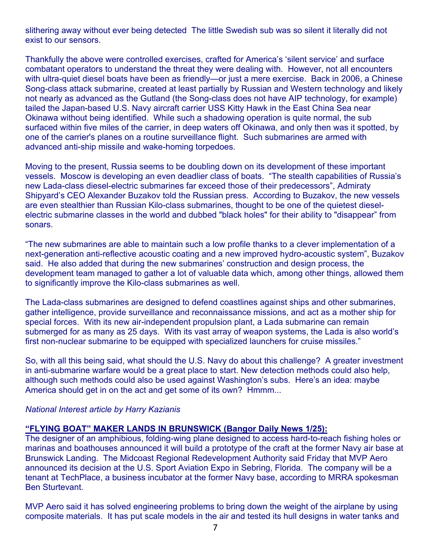slithering away without ever being detected The little Swedish sub was so silent it literally did not exist to our sensors.

Thankfully the above were controlled exercises, crafted for America's 'silent service' and surface combatant operators to understand the threat they were dealing with. However, not all encounters with ultra-quiet diesel boats have been as friendly—or just a mere exercise. Back in 2006, a Chinese Song-class attack submarine, created at least partially by Russian and Western technology and likely not nearly as advanced as the Gutland (the Song-class does not have AIP technology, for example) tailed the Japan-based U.S. Navy aircraft carrier USS Kitty Hawk in the East China Sea near Okinawa without being identified. While such a shadowing operation is quite normal, the sub surfaced within five miles of the carrier, in deep waters off Okinawa, and only then was it spotted, by one of the carrier's planes on a routine surveillance flight. Such submarines are armed with advanced anti-ship missile and wake-homing torpedoes.

Moving to the present, Russia seems to be doubling down on its development of these important vessels. Moscow is developing an even deadlier class of boats. "The stealth capabilities of Russia's new Lada-class diesel-electric submarines far exceed those of their predecessors", Admiraty Shipyard's CEO Alexander Buzakov told the Russian press. According to Buzakov, the new vessels are even stealthier than Russian Kilo-class submarines, thought to be one of the quietest dieselelectric submarine classes in the world and dubbed "black holes" for their ability to "disappear" from sonars.

"The new submarines are able to maintain such a low profile thanks to a clever implementation of a next-generation anti-reflective acoustic coating and a new improved hydro-acoustic system", Buzakov said. He also added that during the new submarines' construction and design process, the development team managed to gather a lot of valuable data which, among other things, allowed them to significantly improve the Kilo-class submarines as well.

The Lada-class submarines are designed to defend coastlines against ships and other submarines, gather intelligence, provide surveillance and reconnaissance missions, and act as a mother ship for special forces. With its new air-independent propulsion plant, a Lada submarine can remain submerged for as many as 25 days. With its vast array of weapon systems, the Lada is also world's first non-nuclear submarine to be equipped with specialized launchers for cruise missiles."

So, with all this being said, what should the U.S. Navy do about this challenge? A greater investment in anti-submarine warfare would be a great place to start. New detection methods could also help, although such methods could also be used against Washington's subs. Here's an idea: maybe America should get in on the act and get some of its own? Hmmm...

#### *National Interest article by Harry Kazianis*

#### **"FLYING BOAT" MAKER LANDS IN BRUNSWICK (Bangor Daily News 1/25):**

The designer of an amphibious, folding-wing plane designed to access hard-to-reach fishing holes or marinas and boathouses announced it will build a prototype of the craft at the former Navy air base at Brunswick Landing. The Midcoast Regional Redevelopment Authority said Friday that MVP Aero announced its decision at the U.S. Sport Aviation Expo in Sebring, Florida. The company will be a tenant at TechPlace, a business incubator at the former Navy base, according to MRRA spokesman Ben Sturtevant.

MVP Aero said it has solved engineering problems to bring down the weight of the airplane by using composite materials. It has put scale models in the air and tested its hull designs in water tanks and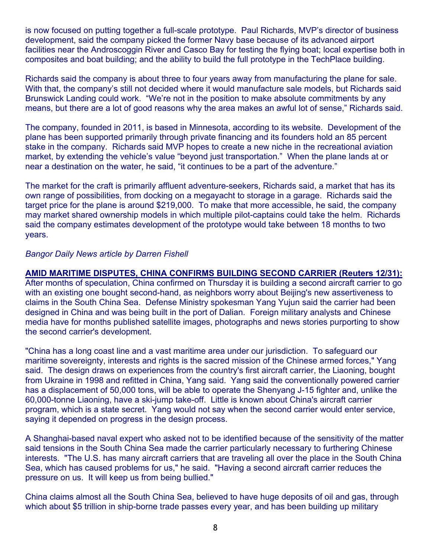is now focused on putting together a full-scale prototype. Paul Richards, MVP's director of business development, said the company picked the former Navy base because of its advanced airport facilities near the Androscoggin River and Casco Bay for testing the flying boat; local expertise both in composites and boat building; and the ability to build the full prototype in the TechPlace building.

Richards said the company is about three to four years away from manufacturing the plane for sale. With that, the company's still not decided where it would manufacture sale models, but Richards said Brunswick Landing could work. "We're not in the position to make absolute commitments by any means, but there are a lot of good reasons why the area makes an awful lot of sense," Richards said.

The company, founded in 2011, is based in Minnesota, according to its website. Development of the plane has been supported primarily through private financing and its founders hold an 85 percent stake in the company. Richards said MVP hopes to create a new niche in the recreational aviation market, by extending the vehicle's value "beyond just transportation." When the plane lands at or near a destination on the water, he said, "it continues to be a part of the adventure."

The market for the craft is primarily affluent adventure-seekers, Richards said, a market that has its own range of possibilities, from docking on a megayacht to storage in a garage. Richards said the target price for the plane is around \$219,000. To make that more accessible, he said, the company may market shared ownership models in which multiple pilot-captains could take the helm. Richards said the company estimates development of the prototype would take between 18 months to two years.

#### *Bangor Daily News article by Darren Fishell*

# **AMID MARITIME DISPUTES, CHINA CONFIRMS BUILDING SECOND CARRIER (Reuters 12/31):**

After months of speculation, China confirmed on Thursday it is building a second aircraft carrier to go with an existing one bought second-hand, as neighbors worry about Beijing's new assertiveness to claims in the South China Sea. Defense Ministry spokesman Yang Yujun said the carrier had been designed in China and was being built in the port of Dalian. Foreign military analysts and Chinese media have for months published satellite images, photographs and news stories purporting to show the second carrier's development.

"China has a long coast line and a vast maritime area under our jurisdiction. To safeguard our maritime sovereignty, interests and rights is the sacred mission of the Chinese armed forces," Yang said. The design draws on experiences from the country's first aircraft carrier, the Liaoning, bought from Ukraine in 1998 and refitted in China, Yang said. Yang said the conventionally powered carrier has a displacement of 50,000 tons, will be able to operate the Shenyang J-15 fighter and, unlike the 60,000-tonne Liaoning, have a ski-jump take-off. Little is known about China's aircraft carrier program, which is a state secret. Yang would not say when the second carrier would enter service, saying it depended on progress in the design process.

A Shanghai-based naval expert who asked not to be identified because of the sensitivity of the matter said tensions in the South China Sea made the carrier particularly necessary to furthering Chinese interests. "The U.S. has many aircraft carriers that are traveling all over the place in the South China Sea, which has caused problems for us," he said. "Having a second aircraft carrier reduces the pressure on us. It will keep us from being bullied."

China claims almost all the South China Sea, believed to have huge deposits of oil and gas, through which about \$5 trillion in ship-borne trade passes every year, and has been building up military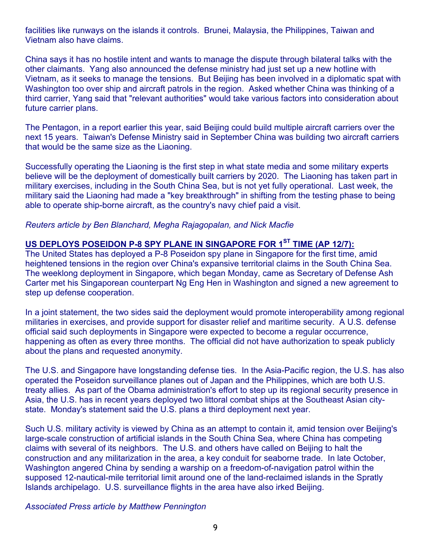facilities like runways on the islands it controls. Brunei, Malaysia, the Philippines, Taiwan and Vietnam also have claims.

China says it has no hostile intent and wants to manage the dispute through bilateral talks with the other claimants. Yang also announced the defense ministry had just set up a new hotline with Vietnam, as it seeks to manage the tensions. But Beijing has been involved in a diplomatic spat with Washington too over ship and aircraft patrols in the region. Asked whether China was thinking of a third carrier, Yang said that "relevant authorities" would take various factors into consideration about future carrier plans.

The Pentagon, in a report earlier this year, said Beijing could build multiple aircraft carriers over the next 15 years. Taiwan's Defense Ministry said in September China was building two aircraft carriers that would be the same size as the Liaoning.

Successfully operating the Liaoning is the first step in what state media and some military experts believe will be the deployment of domestically built carriers by 2020. The Liaoning has taken part in military exercises, including in the South China Sea, but is not yet fully operational. Last week, the military said the Liaoning had made a "key breakthrough" in shifting from the testing phase to being able to operate ship-borne aircraft, as the country's navy chief paid a visit.

#### *Reuters article by Ben Blanchard, Megha Rajagopalan, and Nick Macfie*

# **US DEPLOYS POSEIDON P-8 SPY PLANE IN SINGAPORE FOR 1ST TIME (AP 12/7):**

The United States has deployed a P-8 Poseidon spy plane in Singapore for the first time, amid heightened tensions in the region over China's expansive territorial claims in the South China Sea. The weeklong deployment in Singapore, which began Monday, came as Secretary of Defense Ash Carter met his Singaporean counterpart Ng Eng Hen in Washington and signed a new agreement to step up defense cooperation.

In a joint statement, the two sides said the deployment would promote interoperability among regional militaries in exercises, and provide support for disaster relief and maritime security. A U.S. defense official said such deployments in Singapore were expected to become a regular occurrence, happening as often as every three months. The official did not have authorization to speak publicly about the plans and requested anonymity.

The U.S. and Singapore have longstanding defense ties. In the Asia-Pacific region, the U.S. has also operated the Poseidon surveillance planes out of Japan and the Philippines, which are both U.S. treaty allies. As part of the Obama administration's effort to step up its regional security presence in Asia, the U.S. has in recent years deployed two littoral combat ships at the Southeast Asian citystate. Monday's statement said the U.S. plans a third deployment next year.

Such U.S. military activity is viewed by China as an attempt to contain it, amid tension over Beijing's large-scale construction of artificial islands in the South China Sea, where China has competing claims with several of its neighbors. The U.S. and others have called on Beijing to halt the construction and any militarization in the area, a key conduit for seaborne trade. In late October, Washington angered China by sending a warship on a freedom-of-navigation patrol within the supposed 12-nautical-mile territorial limit around one of the land-reclaimed islands in the Spratly Islands archipelago. U.S. surveillance flights in the area have also irked Beijing.

*Associated Press article by Matthew Pennington*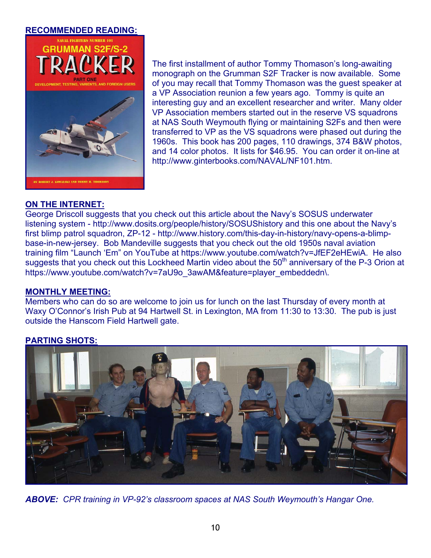# **RECOMMENDED READING: GRUMMAN S2F/S**

The first installment of author Tommy Thomason's long-awaiting monograph on the Grumman S2F Tracker is now available. Some of you may recall that Tommy Thomason was the guest speaker at a VP Association reunion a few years ago. Tommy is quite an interesting guy and an excellent researcher and writer. Many older VP Association members started out in the reserve VS squadrons at NAS South Weymouth flying or maintaining S2Fs and then were transferred to VP as the VS squadrons were phased out during the 1960s. This book has 200 pages, 110 drawings, 374 B&W photos, and 14 color photos. It lists for \$46.95. You can order it on-line at http://www.ginterbooks.com/NAVAL/NF101.htm.

#### **ON THE INTERNET:**

George Driscoll suggests that you check out this article about the Navy's SOSUS underwater listening system - http://www.dosits.org/people/history/SOSUShistory and this one about the Navy's first blimp patrol squadron, ZP-12 - http://www.history.com/this-day-in-history/navy-opens-a-blimpbase-in-new-jersey. Bob Mandeville suggests that you check out the old 1950s naval aviation training film "Launch 'Em" on YouTube at https://www.youtube.com/watch?v=JfEF2eHEwiA. He also suggests that you check out this Lockheed Martin video about the 50<sup>th</sup> anniversary of the P-3 Orion at https://www.youtube.com/watch?v=7aU9o\_3awAM&feature=player\_embeddedn\.

#### **MONTHLY MEETING:**

Members who can do so are welcome to join us for lunch on the last Thursday of every month at Waxy O'Connor's Irish Pub at 94 Hartwell St. in Lexington, MA from 11:30 to 13:30. The pub is just outside the Hanscom Field Hartwell gate.

# **PARTING SHOTS:**



*ABOVE: CPR training in VP-92's classroom spaces at NAS South Weymouth's Hangar One.*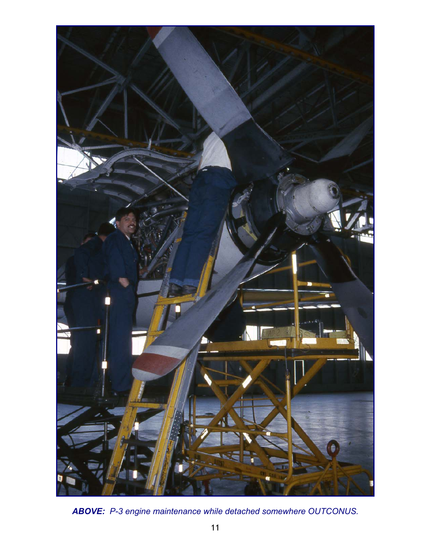

*ABOVE: P-3 engine maintenance while detached somewhere OUTCONUS.*